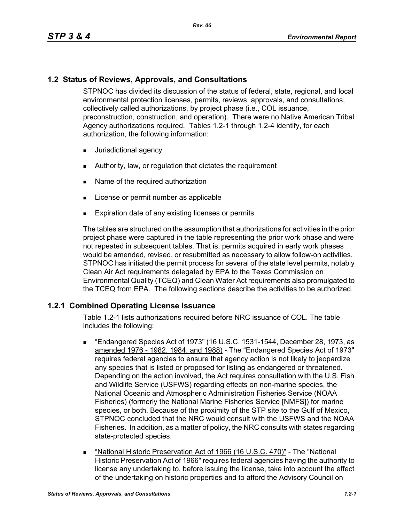## **1.2 Status of Reviews, Approvals, and Consultations**

STPNOC has divided its discussion of the status of federal, state, regional, and local environmental protection licenses, permits, reviews, approvals, and consultations, collectively called authorizations, by project phase (i.e., COL issuance, preconstruction, construction, and operation). There were no Native American Tribal Agency authorizations required. Tables 1.2-1 through 1.2-4 identify, for each authorization, the following information:

- **Jurisdictional agency**
- Authority, law, or regulation that dictates the requirement
- Name of the required authorization
- **License or permit number as applicable**
- **Expiration date of any existing licenses or permits**

The tables are structured on the assumption that authorizations for activities in the prior project phase were captured in the table representing the prior work phase and were not repeated in subsequent tables. That is, permits acquired in early work phases would be amended, revised, or resubmitted as necessary to allow follow-on activities. STPNOC has initiated the permit process for several of the state level permits, notably Clean Air Act requirements delegated by EPA to the Texas Commission on Environmental Quality (TCEQ) and Clean Water Act requirements also promulgated to the TCEQ from EPA. The following sections describe the activities to be authorized.

### **1.2.1 Combined Operating License Issuance**

Table 1.2-1 lists authorizations required before NRC issuance of COL. The table includes the following:

- "Endangered Species Act of 1973" (16 U.S.C. 1531-1544, December 28, 1973, as amended 1976 - 1982, 1984, and 1988) - The "Endangered Species Act of 1973" requires federal agencies to ensure that agency action is not likely to jeopardize any species that is listed or proposed for listing as endangered or threatened. Depending on the action involved, the Act requires consultation with the U.S. Fish and Wildlife Service (USFWS) regarding effects on non-marine species, the National Oceanic and Atmospheric Administration Fisheries Service (NOAA Fisheries) (formerly the National Marine Fisheries Service [NMFS]) for marine species, or both. Because of the proximity of the STP site to the Gulf of Mexico, STPNOC concluded that the NRC would consult with the USFWS and the NOAA Fisheries. In addition, as a matter of policy, the NRC consults with states regarding state-protected species.
- "National Historic Preservation Act of 1966 (16 U.S.C. 470)" The "National Historic Preservation Act of 1966" requires federal agencies having the authority to license any undertaking to, before issuing the license, take into account the effect of the undertaking on historic properties and to afford the Advisory Council on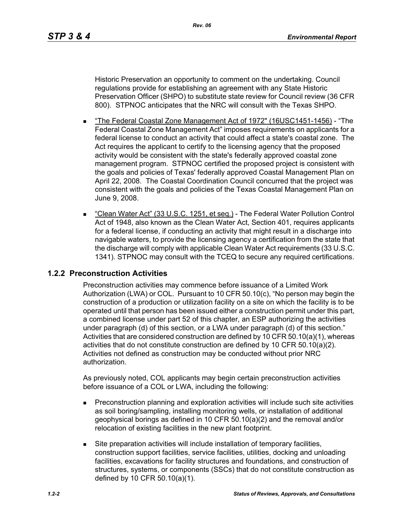Historic Preservation an opportunity to comment on the undertaking. Council regulations provide for establishing an agreement with any State Historic Preservation Officer (SHPO) to substitute state review for Council review (36 CFR 800). STPNOC anticipates that the NRC will consult with the Texas SHPO.

- The Federal Coastal Zone Management Act of 1972" (16USC1451-1456) "The Federal Coastal Zone Management Act" imposes requirements on applicants for a federal license to conduct an activity that could affect a state's coastal zone. The Act requires the applicant to certify to the licensing agency that the proposed activity would be consistent with the state's federally approved coastal zone management program. STPNOC certified the proposed project is consistent with the goals and policies of Texas' federally approved Coastal Management Plan on April 22, 2008. The Coastal Coordination Council concurred that the project was consistent with the goals and policies of the Texas Coastal Management Plan on June 9, 2008.
- "Clean Water Act" (33 U.S.C. 1251, et seg.) The Federal Water Pollution Control Act of 1948, also known as the Clean Water Act, Section 401, requires applicants for a federal license, if conducting an activity that might result in a discharge into navigable waters, to provide the licensing agency a certification from the state that the discharge will comply with applicable Clean Water Act requirements (33 U.S.C. 1341). STPNOC may consult with the TCEQ to secure any required certifications.

## **1.2.2 Preconstruction Activities**

Preconstruction activities may commence before issuance of a Limited Work Authorization (LWA) or COL. Pursuant to 10 CFR 50.10(c), "No person may begin the construction of a production or utilization facility on a site on which the facility is to be operated until that person has been issued either a construction permit under this part, a combined license under part 52 of this chapter, an ESP authorizing the activities under paragraph (d) of this section, or a LWA under paragraph (d) of this section." Activities that are considered construction are defined by 10 CFR 50.10(a)(1), whereas activities that do not constitute construction are defined by 10 CFR 50.10(a)(2). Activities not defined as construction may be conducted without prior NRC authorization.

As previously noted, COL applicants may begin certain preconstruction activities before issuance of a COL or LWA, including the following:

- **Preconstruction planning and exploration activities will include such site activities** as soil boring/sampling, installing monitoring wells, or installation of additional geophysical borings as defined in 10 CFR 50.10(a)(2) and the removal and/or relocation of existing facilities in the new plant footprint.
- Site preparation activities will include installation of temporary facilities, construction support facilities, service facilities, utilities, docking and unloading facilities, excavations for facility structures and foundations, and construction of structures, systems, or components (SSCs) that do not constitute construction as defined by 10 CFR 50.10(a)(1).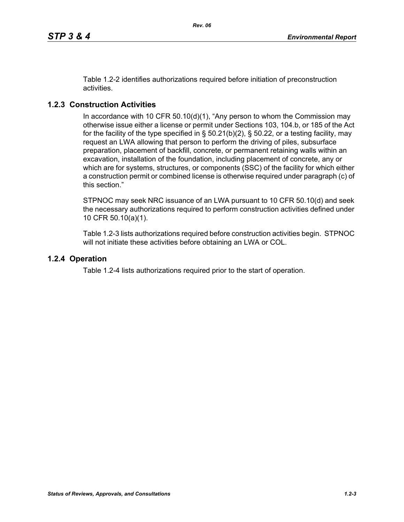Table 1.2-2 identifies authorizations required before initiation of preconstruction activities.

# **1.2.3 Construction Activities**

In accordance with 10 CFR 50.10(d)(1), "Any person to whom the Commission may otherwise issue either a license or permit under Sections 103, 104.b, or 185 of the Act for the facility of the type specified in  $\S$  50.21(b)(2),  $\S$  50.22, or a testing facility, may request an LWA allowing that person to perform the driving of piles, subsurface preparation, placement of backfill, concrete, or permanent retaining walls within an excavation, installation of the foundation, including placement of concrete, any or which are for systems, structures, or components (SSC) of the facility for which either a construction permit or combined license is otherwise required under paragraph (c) of this section."

STPNOC may seek NRC issuance of an LWA pursuant to 10 CFR 50.10(d) and seek the necessary authorizations required to perform construction activities defined under 10 CFR 50.10(a)(1).

Table 1.2-3 lists authorizations required before construction activities begin. STPNOC will not initiate these activities before obtaining an LWA or COL.

### **1.2.4 Operation**

Table 1.2-4 lists authorizations required prior to the start of operation.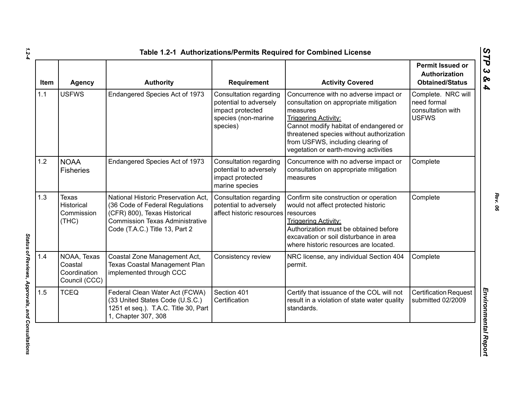| <b>Item</b> | <b>Agency</b>                                           | <b>Authority</b>                                                                                                                                                                   | Requirement                                                                                             | <b>Activity Covered</b>                                                                                                                                                                                                                                                                        | <b>Permit Issued or</b><br>Authorization<br><b>Obtained/Status</b>     |
|-------------|---------------------------------------------------------|------------------------------------------------------------------------------------------------------------------------------------------------------------------------------------|---------------------------------------------------------------------------------------------------------|------------------------------------------------------------------------------------------------------------------------------------------------------------------------------------------------------------------------------------------------------------------------------------------------|------------------------------------------------------------------------|
| 1.1         | <b>USFWS</b>                                            | Endangered Species Act of 1973                                                                                                                                                     | Consultation regarding<br>potential to adversely<br>impact protected<br>species (non-marine<br>species) | Concurrence with no adverse impact or<br>consultation on appropriate mitigation<br>measures<br><b>Triggering Activity:</b><br>Cannot modify habitat of endangered or<br>threatened species without authorization<br>from USFWS, including clearing of<br>vegetation or earth-moving activities | Complete. NRC will<br>need formal<br>consultation with<br><b>USFWS</b> |
| 1.2         | <b>NOAA</b><br><b>Fisheries</b>                         | Endangered Species Act of 1973                                                                                                                                                     | Consultation regarding<br>potential to adversely<br>impact protected<br>marine species                  | Concurrence with no adverse impact or<br>consultation on appropriate mitigation<br>measures                                                                                                                                                                                                    | Complete                                                               |
| 1.3         | <b>Texas</b><br>Historical<br>Commission<br>(THE)       | National Historic Preservation Act,<br>(36 Code of Federal Regulations<br>(CFR) 800), Texas Historical<br><b>Commission Texas Administrative</b><br>Code (T.A.C.) Title 13, Part 2 | Consultation regarding<br>potential to adversely<br>affect historic resources                           | Confirm site construction or operation<br>would not affect protected historic<br>resources<br><b>Triggering Activity:</b><br>Authorization must be obtained before<br>excavation or soil disturbance in area<br>where historic resources are located.                                          | Complete                                                               |
| 1.4         | NOAA, Texas<br>Coastal<br>Coordination<br>Council (CCC) | Coastal Zone Management Act,<br>Texas Coastal Management Plan<br>implemented through CCC                                                                                           | Consistency review                                                                                      | NRC license, any individual Section 404<br>permit.                                                                                                                                                                                                                                             | Complete                                                               |
| 1.5         | <b>TCEQ</b>                                             | Federal Clean Water Act (FCWA)<br>(33 United States Code (U.S.C.)<br>1251 et seq.). T.A.C. Title 30, Part<br>1, Chapter 307, 308                                                   | Section 401<br>Certification                                                                            | Certify that issuance of the COL will not<br>result in a violation of state water quality<br>standards.                                                                                                                                                                                        | <b>Certification Request</b><br>submitted 02/2009                      |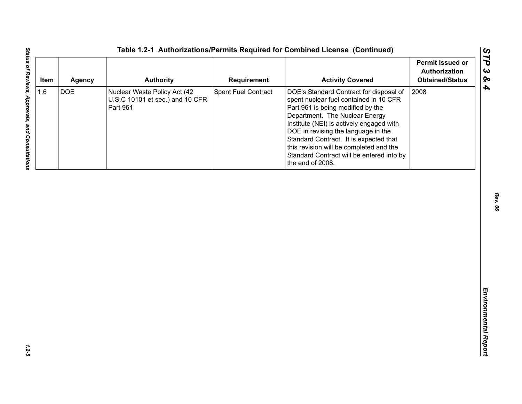| <b>DOE</b><br>Spent Fuel Contract<br>2008<br>Nuclear Waste Policy Act (42<br>DOE's Standard Contract for disposal of<br>U.S.C 10101 et seq.) and 10 CFR<br>spent nuclear fuel contained in 10 CFR<br>Part 961<br>Part 961 is being modified by the<br>Department. The Nuclear Energy<br>Institute (NEI) is actively engaged with | 1.6<br>DOE in revising the language in the |
|----------------------------------------------------------------------------------------------------------------------------------------------------------------------------------------------------------------------------------------------------------------------------------------------------------------------------------|--------------------------------------------|
| Standard Contract. It is expected that<br>this revision will be completed and the<br>Standard Contract will be entered into by<br>the end of 2008.                                                                                                                                                                               |                                            |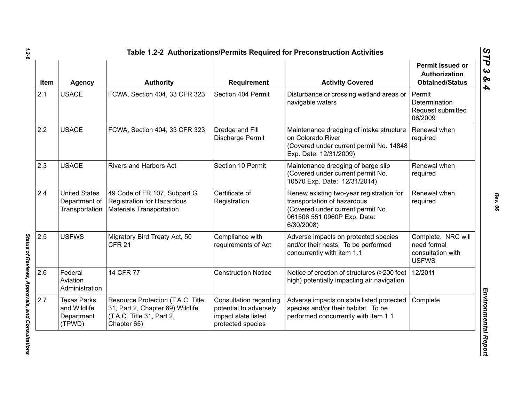| <b>Item</b> | <b>Agency</b>                                              | <b>Authority</b>                                                                                                  | Requirement                                                                                  | <b>Activity Covered</b>                                                                                                                                   | <b>Permit Issued or</b><br>Authorization<br><b>Obtained/Status</b>     |
|-------------|------------------------------------------------------------|-------------------------------------------------------------------------------------------------------------------|----------------------------------------------------------------------------------------------|-----------------------------------------------------------------------------------------------------------------------------------------------------------|------------------------------------------------------------------------|
| 2.1         | <b>USACE</b>                                               | FCWA, Section 404, 33 CFR 323                                                                                     | Section 404 Permit                                                                           | Disturbance or crossing wetland areas or<br>navigable waters                                                                                              | Permit<br>Determination<br>Request submitted<br>06/2009                |
| 2.2         | <b>USACE</b>                                               | FCWA, Section 404, 33 CFR 323                                                                                     | Dredge and Fill<br>Discharge Permit                                                          | Maintenance dredging of intake structure<br>on Colorado River<br>(Covered under current permit No. 14848<br>Exp. Date: 12/31/2009)                        | Renewal when<br>required                                               |
| 2.3         | <b>USACE</b>                                               | Rivers and Harbors Act                                                                                            | Section 10 Permit                                                                            | Maintenance dredging of barge slip<br>(Covered under current permit No.<br>10570 Exp. Date: 12/31/2014)                                                   | Renewal when<br>required                                               |
| 2.4         | <b>United States</b><br>Department of<br>Transportation    | 49 Code of FR 107, Subpart G<br><b>Registration for Hazardous</b><br><b>Materials Transportation</b>              | Certificate of<br>Registration                                                               | Renew existing two-year registration for<br>transportation of hazardous<br>(Covered under current permit No.<br>061506 551 0960P Exp. Date:<br>6/30/2008) | Renewal when<br>required                                               |
| 2.5         | <b>USFWS</b>                                               | Migratory Bird Treaty Act, 50<br><b>CFR 21</b>                                                                    | Compliance with<br>requirements of Act                                                       | Adverse impacts on protected species<br>and/or their nests. To be performed<br>concurrently with item 1.1                                                 | Complete. NRC will<br>need formal<br>consultation with<br><b>USFWS</b> |
| 2.6         | Federal<br>Aviation<br>Administration                      | 14 CFR 77                                                                                                         | <b>Construction Notice</b>                                                                   | Notice of erection of structures (>200 feet<br>high) potentially impacting air navigation                                                                 | 12/2011                                                                |
| 2.7         | <b>Texas Parks</b><br>and Wildlife<br>Department<br>(TPWD) | Resource Protection (T.A.C. Title<br>31, Part 2, Chapter 69) Wildlife<br>(T.A.C. Title 31, Part 2,<br>Chapter 65) | Consultation regarding<br>potential to adversely<br>impact state listed<br>protected species | Adverse impacts on state listed protected<br>species and/or their habitat. To be<br>performed concurrently with item 1.1                                  | Complete                                                               |

Status of Reviews, Approvals, and Consultations *Status of Reviews, Approvals, and Consultations*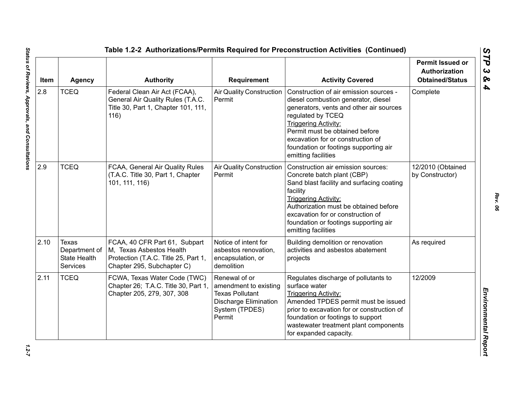| Item | <b>Agency</b>                                                    | <b>Authority</b>                                                                                                                | <b>Requirement</b>                                                                                                           | <b>Activity Covered</b>                                                                                                                                                                                                                                                                                             | <b>Permit Issued or</b><br><b>Authorization</b><br><b>Obtained/Status</b> |
|------|------------------------------------------------------------------|---------------------------------------------------------------------------------------------------------------------------------|------------------------------------------------------------------------------------------------------------------------------|---------------------------------------------------------------------------------------------------------------------------------------------------------------------------------------------------------------------------------------------------------------------------------------------------------------------|---------------------------------------------------------------------------|
| 2.8  | <b>TCEQ</b>                                                      | Federal Clean Air Act (FCAA),<br>General Air Quality Rules (T.A.C.<br>Title 30, Part 1, Chapter 101, 111,<br>116)               | <b>Air Quality Construction</b><br>Permit                                                                                    | Construction of air emission sources -<br>diesel combustion generator, diesel<br>generators, vents and other air sources<br>regulated by TCEQ<br><b>Triggering Activity:</b><br>Permit must be obtained before<br>excavation for or construction of<br>foundation or footings supporting air<br>emitting facilities | Complete                                                                  |
| 2.9  | <b>TCEQ</b>                                                      | FCAA, General Air Quality Rules<br>(T.A.C. Title 30, Part 1, Chapter<br>101, 111, 116)                                          | <b>Air Quality Construction</b><br>Permit                                                                                    | Construction air emission sources:<br>Concrete batch plant (CBP)<br>Sand blast facility and surfacing coating<br>facility<br><b>Triggering Activity:</b><br>Authorization must be obtained before<br>excavation for or construction of<br>foundation or footings supporting air<br>emitting facilities              | 12/2010 (Obtained<br>by Constructor)                                      |
| 2.10 | Texas<br>Department of<br><b>State Health</b><br><b>Services</b> | FCAA, 40 CFR Part 61, Subpart<br>M, Texas Asbestos Health<br>Protection (T.A.C. Title 25, Part 1,<br>Chapter 295, Subchapter C) | Notice of intent for<br>asbestos renovation,<br>encapsulation, or<br>demolition                                              | Building demolition or renovation<br>activities and asbestos abatement<br>projects                                                                                                                                                                                                                                  | As required                                                               |
| 2.11 | <b>TCEQ</b>                                                      | FCWA, Texas Water Code (TWC)<br>Chapter 26; T.A.C. Title 30, Part 1,<br>Chapter 205, 279, 307, 308                              | Renewal of or<br>amendment to existing<br><b>Texas Pollutant</b><br><b>Discharge Elimination</b><br>System (TPDES)<br>Permit | Regulates discharge of pollutants to<br>surface water<br><b>Triggering Activity:</b><br>Amended TPDES permit must be issued<br>prior to excavation for or construction of<br>foundation or footings to support<br>wastewater treatment plant components<br>for expanded capacity.                                   | 12/2009                                                                   |

 $1.2 - 7$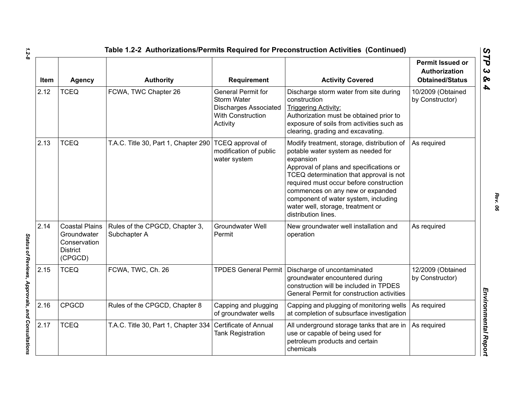| Item | <b>Agency</b>                                                                      | <b>Authority</b>                               | Requirement                                                                                                      | <b>Activity Covered</b>                                                                                                                                                                                                                                                                                                                                                | <b>Permit Issued or</b><br>Authorization<br><b>Obtained/Status</b> |
|------|------------------------------------------------------------------------------------|------------------------------------------------|------------------------------------------------------------------------------------------------------------------|------------------------------------------------------------------------------------------------------------------------------------------------------------------------------------------------------------------------------------------------------------------------------------------------------------------------------------------------------------------------|--------------------------------------------------------------------|
| 2.12 | <b>TCEQ</b>                                                                        | FCWA, TWC Chapter 26                           | General Permit for<br><b>Storm Water</b><br><b>Discharges Associated</b><br><b>With Construction</b><br>Activity | Discharge storm water from site during<br>construction<br><b>Triggering Activity:</b><br>Authorization must be obtained prior to<br>exposure of soils from activities such as<br>clearing, grading and excavating.                                                                                                                                                     | 10/2009 (Obtained<br>by Constructor)                               |
| 2.13 | <b>TCEQ</b>                                                                        | T.A.C. Title 30, Part 1, Chapter 290           | TCEQ approval of<br>modification of public<br>water system                                                       | Modify treatment, storage, distribution of<br>potable water system as needed for<br>expansion<br>Approval of plans and specifications or<br>TCEQ determination that approval is not<br>required must occur before construction<br>commences on any new or expanded<br>component of water system, including<br>water well, storage, treatment or<br>distribution lines. | As required                                                        |
| 2.14 | <b>Coastal Plains</b><br>Groundwater<br>Conservation<br><b>District</b><br>(CPGCD) | Rules of the CPGCD, Chapter 3,<br>Subchapter A | <b>Groundwater Well</b><br>Permit                                                                                | New groundwater well installation and<br>operation                                                                                                                                                                                                                                                                                                                     | As required                                                        |
| 2.15 | <b>TCEQ</b>                                                                        | FCWA, TWC, Ch. 26                              |                                                                                                                  | TPDES General Permit   Discharge of uncontaminated<br>groundwater encountered during<br>construction will be included in TPDES<br>General Permit for construction activities                                                                                                                                                                                           | 12/2009 (Obtained<br>by Constructor)                               |
| 2.16 | <b>CPGCD</b>                                                                       | Rules of the CPGCD, Chapter 8                  | Capping and plugging<br>of groundwater wells                                                                     | Capping and plugging of monitoring wells<br>at completion of subsurface investigation                                                                                                                                                                                                                                                                                  | As required                                                        |
| 2.17 | <b>TCEQ</b>                                                                        | T.A.C. Title 30, Part 1, Chapter 334           | Certificate of Annual<br><b>Tank Registration</b>                                                                | All underground storage tanks that are in<br>use or capable of being used for<br>petroleum products and certain<br>chemicals                                                                                                                                                                                                                                           | As required                                                        |

Status of Reviews, Approvals, and Consultations *Status of Reviews, Approvals, and Consultations*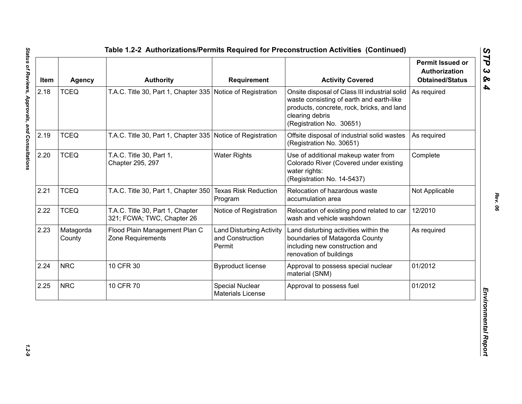| Item | <b>Agency</b>       | <b>Authority</b>                                               | <b>Requirement</b>                                            | <b>Activity Covered</b>                                                                                                                                                                | <b>Permit Issued or</b><br><b>Authorization</b><br><b>Obtained/Status</b> |
|------|---------------------|----------------------------------------------------------------|---------------------------------------------------------------|----------------------------------------------------------------------------------------------------------------------------------------------------------------------------------------|---------------------------------------------------------------------------|
| 2.18 | <b>TCEQ</b>         | T.A.C. Title 30, Part 1, Chapter 335 Notice of Registration    |                                                               | Onsite disposal of Class III industrial solid<br>waste consisting of earth and earth-like<br>products, concrete, rock, bricks, and land<br>clearing debris<br>(Registration No. 30651) | As required                                                               |
| 2.19 | <b>TCEQ</b>         | T.A.C. Title 30, Part 1, Chapter 335 Notice of Registration    |                                                               | Offsite disposal of industrial solid wastes<br>(Registration No. 30651)                                                                                                                | As required                                                               |
| 2.20 | <b>TCEQ</b>         | T.A.C. Title 30, Part 1,<br>Chapter 295, 297                   | <b>Water Rights</b>                                           | Use of additional makeup water from<br>Colorado River (Covered under existing<br>water rights:<br>(Registration No. 14-5437)                                                           | Complete                                                                  |
| 2.21 | <b>TCEQ</b>         | T.A.C. Title 30, Part 1, Chapter 350                           | <b>Texas Risk Reduction</b><br>Program                        | Relocation of hazardous waste<br>accumulation area                                                                                                                                     | Not Applicable                                                            |
| 2.22 | <b>TCEQ</b>         | T.A.C. Title 30, Part 1, Chapter<br>321; FCWA; TWC, Chapter 26 | Notice of Registration                                        | Relocation of existing pond related to car<br>wash and vehicle washdown                                                                                                                | 12/2010                                                                   |
| 2.23 | Matagorda<br>County | Flood Plain Management Plan C<br>Zone Requirements             | <b>Land Disturbing Activity</b><br>and Construction<br>Permit | Land disturbing activities within the<br>boundaries of Matagorda County<br>including new construction and<br>renovation of buildings                                                   | As required                                                               |
| 2.24 | <b>NRC</b>          | 10 CFR 30                                                      | <b>Byproduct license</b>                                      | Approval to possess special nuclear<br>material (SNM)                                                                                                                                  | 01/2012                                                                   |
| 2.25 | <b>NRC</b>          | 10 CFR 70                                                      | Special Nuclear<br><b>Materials License</b>                   | Approval to possess fuel                                                                                                                                                               | 01/2012                                                                   |

 $1.2 - 9$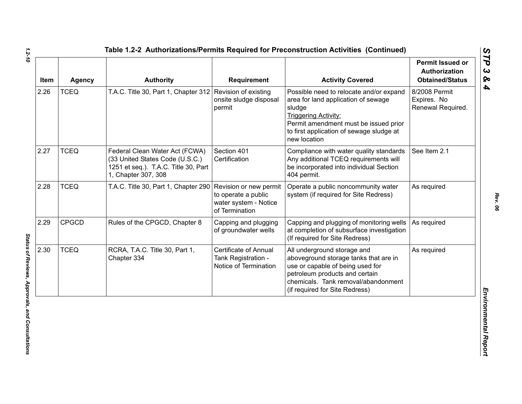| Item | <b>Agency</b> | <b>Authority</b>                                                                                                                 | <b>Requirement</b>                                                                       | <b>Activity Covered</b>                                                                                                                                                                                                      | <b>Permit Issued or</b><br><b>Authorization</b><br><b>Obtained/Status</b> |
|------|---------------|----------------------------------------------------------------------------------------------------------------------------------|------------------------------------------------------------------------------------------|------------------------------------------------------------------------------------------------------------------------------------------------------------------------------------------------------------------------------|---------------------------------------------------------------------------|
| 2.26 | <b>TCEQ</b>   | T.A.C. Title 30, Part 1, Chapter 312 Revision of existing                                                                        | onsite sludge disposal<br>permit                                                         | Possible need to relocate and/or expand<br>area for land application of sewage<br>sludge<br><b>Triggering Activity:</b><br>Permit amendment must be issued prior<br>to first application of sewage sludge at<br>new location | 8/2008 Permit<br>Expires. No<br>Renewal Required.                         |
| 2.27 | <b>TCEQ</b>   | Federal Clean Water Act (FCWA)<br>(33 United States Code (U.S.C.)<br>1251 et seq.). T.A.C. Title 30, Part<br>1, Chapter 307, 308 | Section 401<br>Certification                                                             | Compliance with water quality standards<br>Any additional TCEQ requirements will<br>be incorporated into individual Section<br>404 permit.                                                                                   | See Item 2.1                                                              |
| 2.28 | <b>TCEQ</b>   | T.A.C. Title 30, Part 1, Chapter 290                                                                                             | Revision or new permit<br>to operate a public<br>water system - Notice<br>of Termination | Operate a public noncommunity water<br>system (if required for Site Redress)                                                                                                                                                 | As required                                                               |
| 2.29 | <b>CPGCD</b>  | Rules of the CPGCD, Chapter 8                                                                                                    | Capping and plugging<br>of groundwater wells                                             | Capping and plugging of monitoring wells<br>at completion of subsurface investigation<br>(If required for Site Redress)                                                                                                      | As required                                                               |
| 2.30 | <b>TCEQ</b>   | RCRA, T.A.C. Title 30, Part 1,<br>Chapter 334                                                                                    | <b>Certificate of Annual</b><br>Tank Registration -<br>Notice of Termination             | All underground storage and<br>aboveground storage tanks that are in<br>use or capable of being used for<br>petroleum products and certain<br>chemicals. Tank removal/abandonment<br>(if required for Site Redress)          | As required                                                               |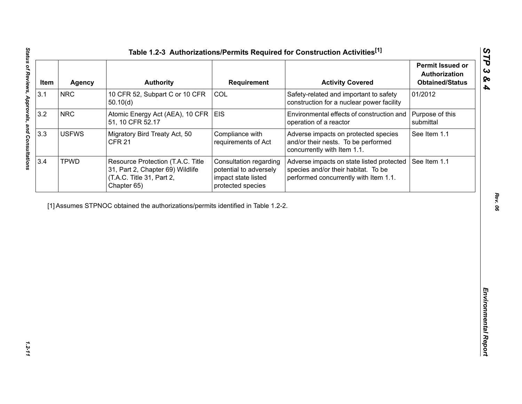| Item | <b>Agency</b> | <b>Authority</b>                                                                                                  | Requirement                                                                                  | <b>Activity Covered</b>                                                                                                   | <b>Permit Issued or</b><br>Authorization<br><b>Obtained/Status</b> |
|------|---------------|-------------------------------------------------------------------------------------------------------------------|----------------------------------------------------------------------------------------------|---------------------------------------------------------------------------------------------------------------------------|--------------------------------------------------------------------|
| 3.1  | <b>NRC</b>    | 10 CFR 52, Subpart C or 10 CFR<br>50.10(d)                                                                        | COL                                                                                          | Safety-related and important to safety<br>construction for a nuclear power facility                                       | 01/2012                                                            |
| 3.2  | <b>NRC</b>    | Atomic Energy Act (AEA), 10 CFR<br>51, 10 CFR 52.17                                                               | <b>EIS</b>                                                                                   | Environmental effects of construction and<br>operation of a reactor                                                       | Purpose of this<br>submittal                                       |
| 3.3  | <b>USFWS</b>  | Migratory Bird Treaty Act, 50<br><b>CFR 21</b>                                                                    | Compliance with<br>requirements of Act                                                       | Adverse impacts on protected species<br>and/or their nests. To be performed<br>concurrently with Item 1.1.                | See Item 1.1                                                       |
| 3.4  | <b>TPWD</b>   | Resource Protection (T.A.C. Title<br>31, Part 2, Chapter 69) Wildlife<br>(T.A.C. Title 31, Part 2,<br>Chapter 65) | Consultation regarding<br>potential to adversely<br>impact state listed<br>protected species | Adverse impacts on state listed protected<br>species and/or their habitat. To be<br>performed concurrently with Item 1.1. | See Item 1.1                                                       |
|      |               | [1] Assumes STPNOC obtained the authorizations/permits identified in Table 1.2-2.                                 |                                                                                              |                                                                                                                           |                                                                    |
|      |               |                                                                                                                   |                                                                                              |                                                                                                                           |                                                                    |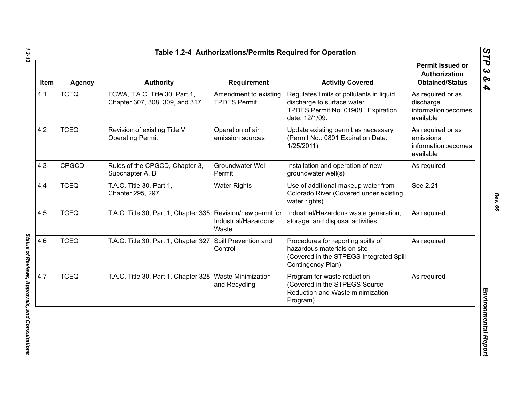| Item | <b>Agency</b> | <b>Authority</b>                                                 | Requirement                                  | <b>Activity Covered</b>                                                                                                           | <b>Permit Issued or</b><br>Authorization<br><b>Obtained/Status</b> |
|------|---------------|------------------------------------------------------------------|----------------------------------------------|-----------------------------------------------------------------------------------------------------------------------------------|--------------------------------------------------------------------|
| 4.1  | <b>TCEQ</b>   | FCWA, T.A.C. Title 30, Part 1,<br>Chapter 307, 308, 309, and 317 | Amendment to existing<br><b>TPDES Permit</b> | Regulates limits of pollutants in liquid<br>discharge to surface water<br>TPDES Permit No. 01908. Expiration<br>date: 12/1/09.    | As required or as<br>discharge<br>information becomes<br>available |
| 4.2  | <b>TCEQ</b>   | Revision of existing Title V<br><b>Operating Permit</b>          | Operation of air<br>emission sources         | Update existing permit as necessary<br>(Permit No.: 0801 Expiration Date:<br>1/25/2011                                            | As required or as<br>emissions<br>information becomes<br>available |
| 4.3  | <b>CPGCD</b>  | Rules of the CPGCD, Chapter 3,<br>Subchapter A, B                | Groundwater Well<br>Permit                   | Installation and operation of new<br>groundwater well(s)                                                                          | As required                                                        |
| 4.4  | <b>TCEQ</b>   | T.A.C. Title 30, Part 1,<br>Chapter 295, 297                     | <b>Water Rights</b>                          | Use of additional makeup water from<br>Colorado River (Covered under existing<br>water rights)                                    | See 2.21                                                           |
| 4.5  | <b>TCEQ</b>   | T.A.C. Title 30, Part 1, Chapter 335 Revision/new permit for     | Industrial/Hazardous<br>Waste                | Industrial/Hazardous waste generation,<br>storage, and disposal activities                                                        | As required                                                        |
| 4.6  | <b>TCEQ</b>   | T.A.C. Title 30, Part 1, Chapter 327                             | Spill Prevention and<br>Control              | Procedures for reporting spills of<br>hazardous materials on site<br>(Covered in the STPEGS Integrated Spill<br>Contingency Plan) | As required                                                        |
| 4.7  | <b>TCEQ</b>   | T.A.C. Title 30, Part 1, Chapter 328   Waste Minimization        | and Recycling                                | Program for waste reduction<br>(Covered in the STPEGS Source<br>Reduction and Waste minimization<br>Program)                      | As required                                                        |

*STP 3 & 4*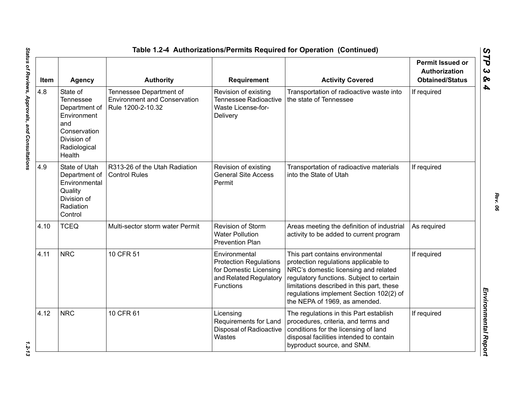| Item | <b>Agency</b>                                                                                                                | <b>Authority</b>                                                                    | Requirement                                                                                                            | <b>Activity Covered</b>                                                                                                                                                                                                                                                               | <b>Permit Issued or</b><br><b>Authorization</b><br><b>Obtained/Status</b> |
|------|------------------------------------------------------------------------------------------------------------------------------|-------------------------------------------------------------------------------------|------------------------------------------------------------------------------------------------------------------------|---------------------------------------------------------------------------------------------------------------------------------------------------------------------------------------------------------------------------------------------------------------------------------------|---------------------------------------------------------------------------|
| 4.8  | State of<br><b>Tennessee</b><br>Department of<br>Environment<br>and<br>Conservation<br>Division of<br>Radiological<br>Health | Tennessee Department of<br><b>Environment and Conservation</b><br>Rule 1200-2-10.32 | Revision of existing<br><b>Tennessee Radioactive</b><br>Waste License-for-<br>Delivery                                 | Transportation of radioactive waste into<br>the state of Tennessee                                                                                                                                                                                                                    | If required                                                               |
| 4.9  | State of Utah<br>Department of<br>Environmental<br>Quality<br>Division of<br>Radiation<br>Control                            | R313-26 of the Utah Radiation<br><b>Control Rules</b>                               | Revision of existing<br><b>General Site Access</b><br>Permit                                                           | Transportation of radioactive materials<br>into the State of Utah                                                                                                                                                                                                                     | If required                                                               |
| 4.10 | <b>TCEQ</b>                                                                                                                  | Multi-sector storm water Permit                                                     | Revision of Storm<br><b>Water Pollution</b><br><b>Prevention Plan</b>                                                  | Areas meeting the definition of industrial<br>activity to be added to current program                                                                                                                                                                                                 | As required                                                               |
| 4.11 | <b>NRC</b>                                                                                                                   | 10 CFR 51                                                                           | Environmental<br><b>Protection Regulations</b><br>for Domestic Licensing<br>and Related Regulatory<br><b>Functions</b> | This part contains environmental<br>protection regulations applicable to<br>NRC's domestic licensing and related<br>regulatory functions. Subject to certain<br>limitations described in this part, these<br>regulations implement Section 102(2) of<br>the NEPA of 1969, as amended. | If required                                                               |
| 4.12 | <b>NRC</b>                                                                                                                   | 10 CFR 61                                                                           | Licensing<br>Requirements for Land<br>Disposal of Radioactive<br>Wastes                                                | The regulations in this Part establish<br>procedures, criteria, and terms and<br>conditions for the licensing of land<br>disposal facilities intended to contain<br>byproduct source, and SNM.                                                                                        | If required                                                               |

 $1.2 - 13$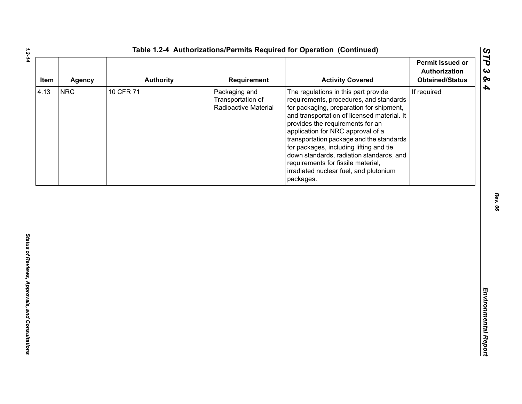| Item | <b>Agency</b> | <b>Authority</b> | Requirement                                                | <b>Activity Covered</b>                                                                                                                                                                                                                                                                                                                                                                                                                                                             | <b>Permit Issued or</b><br>Authorization<br><b>Obtained/Status</b> |
|------|---------------|------------------|------------------------------------------------------------|-------------------------------------------------------------------------------------------------------------------------------------------------------------------------------------------------------------------------------------------------------------------------------------------------------------------------------------------------------------------------------------------------------------------------------------------------------------------------------------|--------------------------------------------------------------------|
| 4.13 | <b>NRC</b>    | 10 CFR 71        | Packaging and<br>Transportation of<br>Radioactive Material | The regulations in this part provide<br>requirements, procedures, and standards<br>for packaging, preparation for shipment,<br>and transportation of licensed material. It<br>provides the requirements for an<br>application for NRC approval of a<br>transportation package and the standards<br>for packages, including lifting and tie<br>down standards, radiation standards, and<br>requirements for fissile material,<br>irradiated nuclear fuel, and plutonium<br>packages. | If required                                                        |
|      |               |                  |                                                            |                                                                                                                                                                                                                                                                                                                                                                                                                                                                                     |                                                                    |
|      |               |                  |                                                            |                                                                                                                                                                                                                                                                                                                                                                                                                                                                                     |                                                                    |